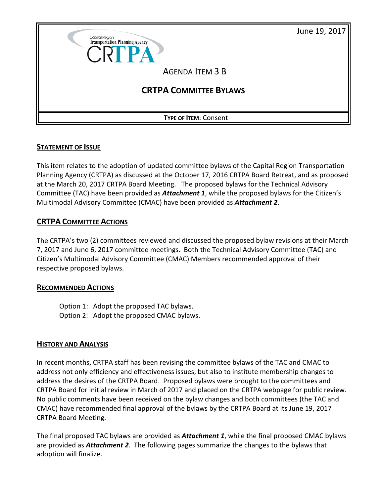



### **STATEMENT OF ISSUE**

This item relates to the adoption of updated committee bylaws of the Capital Region Transportation Planning Agency (CRTPA) as discussed at the October 17, 2016 CRTPA Board Retreat, and as proposed at the March 20, 2017 CRTPA Board Meeting. The proposed bylaws for the Technical Advisory Committee (TAC) have been provided as *Attachment 1*, while the proposed bylaws for the Citizen's Multimodal Advisory Committee (CMAC) have been provided as *Attachment 2*.

### **CRTPA COMMITTEE ACTIONS**

The CRTPA's two (2) committees reviewed and discussed the proposed bylaw revisions at their March 7, 2017 and June 6, 2017 committee meetings. Both the Technical Advisory Committee (TAC) and Citizen's Multimodal Advisory Committee (CMAC) Members recommended approval of their respective proposed bylaws.

### **RECOMMENDED ACTIONS**

Option 1: Adopt the proposed TAC bylaws. Option 2: Adopt the proposed CMAC bylaws.

### **HISTORY AND ANALYSIS**

In recent months, CRTPA staff has been revising the committee bylaws of the TAC and CMAC to address not only efficiency and effectiveness issues, but also to institute membership changes to address the desires of the CRTPA Board. Proposed bylaws were brought to the committees and CRTPA Board for initial review in March of 2017 and placed on the CRTPA webpage for public review. No public comments have been received on the bylaw changes and both committees (the TAC and CMAC) have recommended final approval of the bylaws by the CRTPA Board at its June 19, 2017 CRTPA Board Meeting.

The final proposed TAC bylaws are provided as *Attachment 1*, while the final proposed CMAC bylaws are provided as *Attachment 2*. The following pages summarize the changes to the bylaws that adoption will finalize.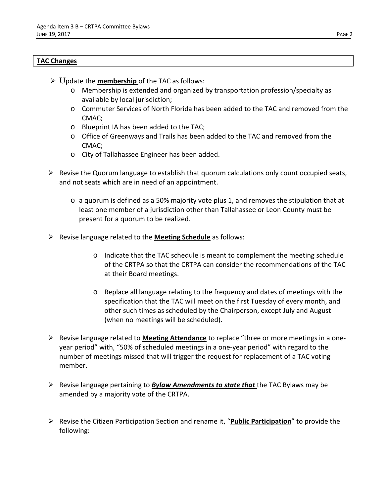#### **TAC Changes**

- Update the **membership** of the TAC as follows:
	- o Membership is extended and organized by transportation profession/specialty as available by local jurisdiction;
	- o Commuter Services of North Florida has been added to the TAC and removed from the CMAC;
	- o Blueprint IA has been added to the TAC;
	- o Office of Greenways and Trails has been added to the TAC and removed from the CMAC;
	- o City of Tallahassee Engineer has been added.
- $\triangleright$  Revise the Quorum language to establish that quorum calculations only count occupied seats, and not seats which are in need of an appointment.
	- o a quorum is defined as a 50% majority vote plus 1, and removes the stipulation that at least one member of a jurisdiction other than Tallahassee or Leon County must be present for a quorum to be realized.
- Revise language related to the **Meeting Schedule** as follows:
	- o Indicate that the TAC schedule is meant to complement the meeting schedule of the CRTPA so that the CRTPA can consider the recommendations of the TAC at their Board meetings.
	- o Replace all language relating to the frequency and dates of meetings with the specification that the TAC will meet on the first Tuesday of every month, and other such times as scheduled by the Chairperson, except July and August (when no meetings will be scheduled).
- Revise language related to **Meeting Attendance** to replace "three or more meetings in a oneyear period" with, "50% of scheduled meetings in a one-year period" with regard to the number of meetings missed that will trigger the request for replacement of a TAC voting member.
- Revise language pertaining to *Bylaw Amendments to state that* the TAC Bylaws may be amended by a majority vote of the CRTPA.
- Revise the Citizen Participation Section and rename it, "**Public Participation**" to provide the following: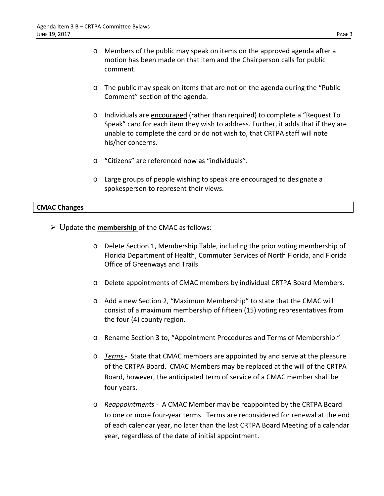- o Members of the public may speak on items on the approved agenda after a motion has been made on that item and the Chairperson calls for public comment.
- o The public may speak on items that are not on the agenda during the "Public Comment" section of the agenda.
- o Individuals are encouraged (rather than required) to complete a "Request To Speak" card for each item they wish to address. Further, it adds that if they are unable to complete the card or do not wish to, that CRTPA staff will note his/her concerns.
- o "Citizens" are referenced now as "individuals".
- o Large groups of people wishing to speak are encouraged to designate a spokesperson to represent their views.

#### **CMAC Changes**

Update the **membership** of the CMAC as follows:

- o Delete Section 1, Membership Table, including the prior voting membership of Florida Department of Health, Commuter Services of North Florida, and Florida Office of Greenways and Trails
- o Delete appointments of CMAC members by individual CRTPA Board Members.
- o Add a new Section 2, "Maximum Membership" to state that the CMAC will consist of a maximum membership of fifteen (15) voting representatives from the four (4) county region.
- o Rename Section 3 to, "Appointment Procedures and Terms of Membership."
- o *Terms* State that CMAC members are appointed by and serve at the pleasure of the CRTPA Board. CMAC Members may be replaced at the will of the CRTPA Board, however, the anticipated term of service of a CMAC member shall be four years.
- o *Reappointments*  A CMAC Member may be reappointed by the CRTPA Board to one or more four-year terms. Terms are reconsidered for renewal at the end of each calendar year, no later than the last CRTPA Board Meeting of a calendar year, regardless of the date of initial appointment.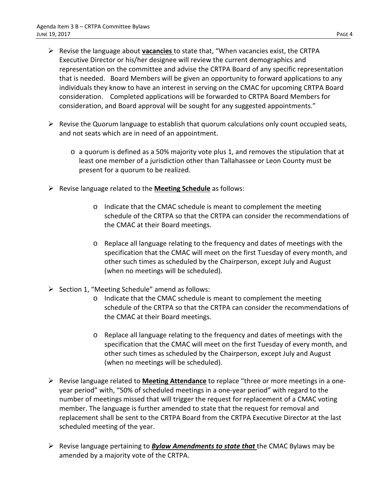- Revise the language about **vacancies** to state that, "When vacancies exist, the CRTPA Executive Director or his/her designee will review the current demographics and representation on the committee and advise the CRTPA Board of any specific representation that is needed. Board Members will be given an opportunity to forward applications to any individuals they know to have an interest in serving on the CMAC for upcoming CRTPA Board consideration. Completed applications will be forwarded to CRTPA Board Members for consideration, and Board approval will be sought for any suggested appointments."
- $\triangleright$  Revise the Quorum language to establish that quorum calculations only count occupied seats, and not seats which are in need of an appointment.
	- o a quorum is defined as a 50% majority vote plus 1, and removes the stipulation that at least one member of a jurisdiction other than Tallahassee or Leon County must be present for a quorum to be realized.
- Revise language related to the **Meeting Schedule** as follows:
	- o Indicate that the CMAC schedule is meant to complement the meeting schedule of the CRTPA so that the CRTPA can consider the recommendations of the CMAC at their Board meetings.
	- o Replace all language relating to the frequency and dates of meetings with the specification that the CMAC will meet on the first Tuesday of every month, and other such times as scheduled by the Chairperson, except July and August (when no meetings will be scheduled).
- $\triangleright$  Section 1, "Meeting Schedule" amend as follows:
	- o Indicate that the CMAC schedule is meant to complement the meeting schedule of the CRTPA so that the CRTPA can consider the recommendations of the CMAC at their Board meetings.
	- o Replace all language relating to the frequency and dates of meetings with the specification that the CMAC will meet on the first Tuesday of every month, and other such times as scheduled by the Chairperson, except July and August (when no meetings will be scheduled).
- Revise language related to **Meeting Attendance** to replace "three or more meetings in a oneyear period" with, "50% of scheduled meetings in a one-year period" with regard to the number of meetings missed that will trigger the request for replacement of a CMAC voting member. The language is further amended to state that the request for removal and replacement shall be sent to the CRTPA Board from the CRTPA Executive Director at the last scheduled meeting of the year.
- Revise language pertaining to *Bylaw Amendments to state that* the CMAC Bylaws may be amended by a majority vote of the CRTPA.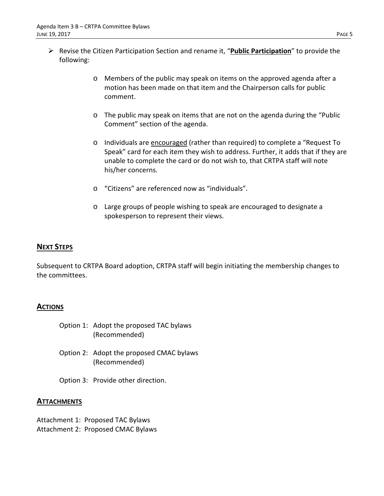- Revise the Citizen Participation Section and rename it, "**Public Participation**" to provide the following:
	- o Members of the public may speak on items on the approved agenda after a motion has been made on that item and the Chairperson calls for public comment.
	- o The public may speak on items that are not on the agenda during the "Public Comment" section of the agenda.
	- o Individuals are encouraged (rather than required) to complete a "Request To Speak" card for each item they wish to address. Further, it adds that if they are unable to complete the card or do not wish to, that CRTPA staff will note his/her concerns.
	- o "Citizens" are referenced now as "individuals".
	- o Large groups of people wishing to speak are encouraged to designate a spokesperson to represent their views.

### **NEXT STEPS**

Subsequent to CRTPA Board adoption, CRTPA staff will begin initiating the membership changes to the committees.

### **ACTIONS**

- Option 1: Adopt the proposed TAC bylaws (Recommended)
- Option 2: Adopt the proposed CMAC bylaws (Recommended)
- Option 3: Provide other direction.

### **ATTACHMENTS**

Attachment 1: Proposed TAC Bylaws Attachment 2: Proposed CMAC Bylaws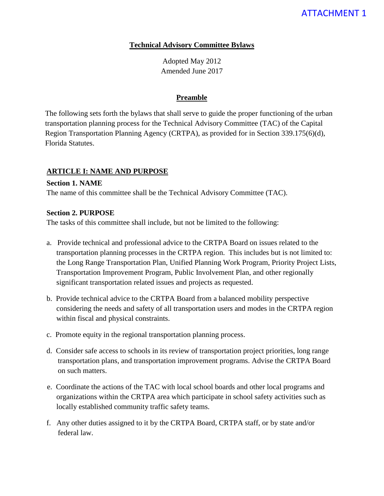# ATTACHMENT 1

#### **Technical Advisory Committee Bylaws**

Adopted May 2012 Amended June 2017

#### **Preamble**

The following sets forth the bylaws that shall serve to guide the proper functioning of the urban transportation planning process for the Technical Advisory Committee (TAC) of the Capital Region Transportation Planning Agency (CRTPA), as provided for in Section 339.175(6)(d), Florida Statutes.

### **ARTICLE I: NAME AND PURPOSE**

### **Section 1. NAME**

The name of this committee shall be the Technical Advisory Committee (TAC).

#### **Section 2. PURPOSE**

The tasks of this committee shall include, but not be limited to the following:

- a. Provide technical and professional advice to the CRTPA Board on issues related to the transportation planning processes in the CRTPA region. This includes but is not limited to: the Long Range Transportation Plan, Unified Planning Work Program, Priority Project Lists, Transportation Improvement Program, Public Involvement Plan, and other regionally significant transportation related issues and projects as requested.
- b. Provide technical advice to the CRTPA Board from a balanced mobility perspective considering the needs and safety of all transportation users and modes in the CRTPA region within fiscal and physical constraints.
- c. Promote equity in the regional transportation planning process.
- d. Consider safe access to schools in its review of transportation project priorities, long range transportation plans, and transportation improvement programs. Advise the CRTPA Board on such matters.
- e. Coordinate the actions of the TAC with local school boards and other local programs and organizations within the CRTPA area which participate in school safety activities such as locally established community traffic safety teams.
- f. Any other duties assigned to it by the CRTPA Board, CRTPA staff, or by state and/or federal law.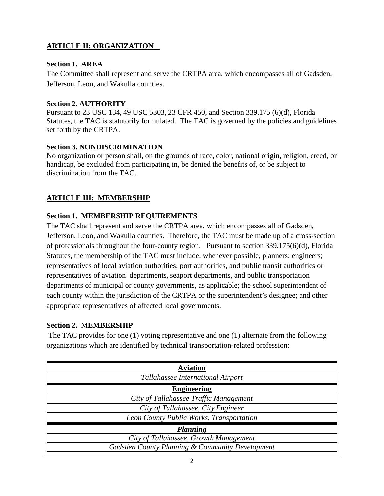## **ARTICLE II: ORGANIZATION**

### **Section 1. AREA**

The Committee shall represent and serve the CRTPA area, which encompasses all of Gadsden, Jefferson, Leon, and Wakulla counties.

### **Section 2. AUTHORITY**

Pursuant to 23 USC 134, 49 USC 5303, 23 CFR 450, and Section 339.175 (6)(d), Florida Statutes, the TAC is statutorily formulated. The TAC is governed by the policies and guidelines set forth by the CRTPA.

### **Section 3. NONDISCRIMINATION**

No organization or person shall, on the grounds of race, color, national origin, religion, creed, or handicap, be excluded from participating in, be denied the benefits of, or be subject to discrimination from the TAC.

# **ARTICLE III: MEMBERSHIP**

## **Section 1. MEMBERSHIP REQUIREMENTS**

The TAC shall represent and serve the CRTPA area, which encompasses all of Gadsden, Jefferson, Leon, and Wakulla counties. Therefore, the TAC must be made up of a cross-section of professionals throughout the four-county region. Pursuant to section 339.175(6)(d), Florida Statutes, the membership of the TAC must include, whenever possible, planners; engineers; representatives of local aviation authorities, port authorities, and public transit authorities or representatives of aviation departments, seaport departments, and public transportation departments of municipal or county governments, as applicable; the school superintendent of each county within the jurisdiction of the CRTPA or the superintendent's designee; and other appropriate representatives of affected local governments.

## **Section 2.** M**EMBERSHIP**

The TAC provides for one (1) voting representative and one (1) alternate from the following organizations which are identified by technical transportation-related profession:

| <b>Aviation</b>                                 |
|-------------------------------------------------|
| Tallahassee International Airport               |
| <b>Engineering</b>                              |
| City of Tallahassee Traffic Management          |
| City of Tallahassee, City Engineer              |
| Leon County Public Works, Transportation        |
| Planning                                        |
| City of Tallahassee, Growth Management          |
| Gadsden County Planning & Community Development |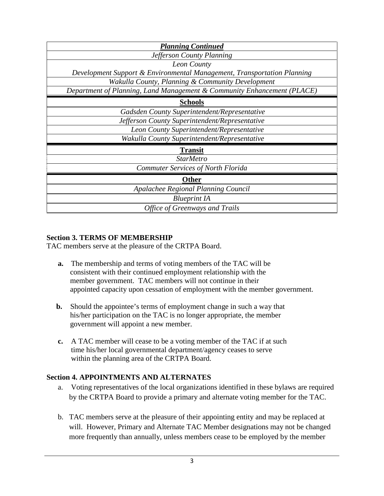| <b>Planning Continued</b>                                               |
|-------------------------------------------------------------------------|
| Jefferson County Planning                                               |
| Leon County                                                             |
| Development Support & Environmental Management, Transportation Planning |
| Wakulla County, Planning & Community Development                        |
| Department of Planning, Land Management & Community Enhancement (PLACE) |
| <b>Schools</b>                                                          |
| Gadsden County Superintendent/Representative                            |
| Jefferson County Superintendent/Representative                          |
| Leon County Superintendent/Representative                               |
| Wakulla County Superintendent/Representative                            |
| <b>Transit</b>                                                          |
| <b>StarMetro</b>                                                        |
| Commuter Services of North Florida                                      |
| <b>Other</b>                                                            |
| Apalachee Regional Planning Council                                     |
| <b>Blueprint IA</b>                                                     |
| <b>Office of Greenways and Trails</b>                                   |

### **Section 3. TERMS OF MEMBERSHIP**

TAC members serve at the pleasure of the CRTPA Board.

- **a.** The membership and terms of voting members of the TAC will be consistent with their continued employment relationship with the member government. TAC members will not continue in their appointed capacity upon cessation of employment with the member government.
- **b.** Should the appointee's terms of employment change in such a way that his/her participation on the TAC is no longer appropriate, the member government will appoint a new member.
- **c.** A TAC member will cease to be a voting member of the TAC if at such time his/her local governmental department/agency ceases to serve within the planning area of the CRTPA Board.

### **Section 4. APPOINTMENTS AND ALTERNATES**

- a. Voting representatives of the local organizations identified in these bylaws are required by the CRTPA Board to provide a primary and alternate voting member for the TAC.
- b. TAC members serve at the pleasure of their appointing entity and may be replaced at will. However, Primary and Alternate TAC Member designations may not be changed more frequently than annually, unless members cease to be employed by the member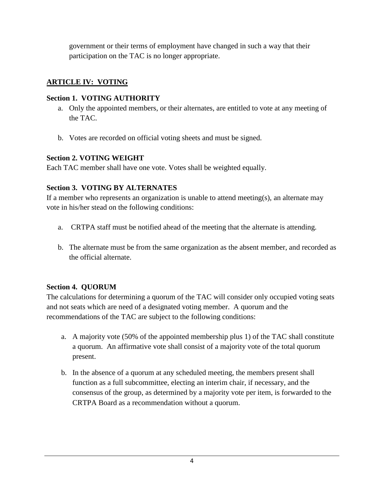government or their terms of employment have changed in such a way that their participation on the TAC is no longer appropriate.

## **ARTICLE IV: VOTING**

## **Section 1. VOTING AUTHORITY**

- a. Only the appointed members, or their alternates, are entitled to vote at any meeting of the TAC.
- b. Votes are recorded on official voting sheets and must be signed.

## **Section 2. VOTING WEIGHT**

Each TAC member shall have one vote. Votes shall be weighted equally.

# **Section 3. VOTING BY ALTERNATES**

If a member who represents an organization is unable to attend meeting(s), an alternate may vote in his/her stead on the following conditions:

- a. CRTPA staff must be notified ahead of the meeting that the alternate is attending.
- b. The alternate must be from the same organization as the absent member, and recorded as the official alternate.

# **Section 4. QUORUM**

The calculations for determining a quorum of the TAC will consider only occupied voting seats and not seats which are need of a designated voting member. A quorum and the recommendations of the TAC are subject to the following conditions:

- a. A majority vote (50% of the appointed membership plus 1) of the TAC shall constitute a quorum. An affirmative vote shall consist of a majority vote of the total quorum present.
- b. In the absence of a quorum at any scheduled meeting, the members present shall function as a full subcommittee, electing an interim chair, if necessary, and the consensus of the group, as determined by a majority vote per item, is forwarded to the CRTPA Board as a recommendation without a quorum.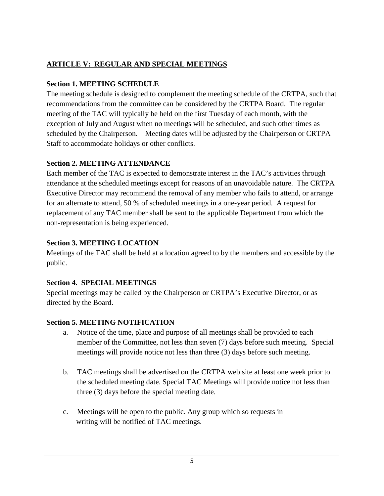# **ARTICLE V: REGULAR AND SPECIAL MEETINGS**

# **Section 1. MEETING SCHEDULE**

The meeting schedule is designed to complement the meeting schedule of the CRTPA, such that recommendations from the committee can be considered by the CRTPA Board. The regular meeting of the TAC will typically be held on the first Tuesday of each month, with the exception of July and August when no meetings will be scheduled, and such other times as scheduled by the Chairperson. Meeting dates will be adjusted by the Chairperson or CRTPA Staff to accommodate holidays or other conflicts.

# **Section 2. MEETING ATTENDANCE**

Each member of the TAC is expected to demonstrate interest in the TAC's activities through attendance at the scheduled meetings except for reasons of an unavoidable nature. The CRTPA Executive Director may recommend the removal of any member who fails to attend, or arrange for an alternate to attend, 50 % of scheduled meetings in a one-year period. A request for replacement of any TAC member shall be sent to the applicable Department from which the non-representation is being experienced.

# **Section 3. MEETING LOCATION**

Meetings of the TAC shall be held at a location agreed to by the members and accessible by the public.

# **Section 4. SPECIAL MEETINGS**

Special meetings may be called by the Chairperson or CRTPA's Executive Director, or as directed by the Board.

# **Section 5. MEETING NOTIFICATION**

- a. Notice of the time, place and purpose of all meetings shall be provided to each member of the Committee, not less than seven (7) days before such meeting. Special meetings will provide notice not less than three (3) days before such meeting.
- b. TAC meetings shall be advertised on the CRTPA web site at least one week prior to the scheduled meeting date. Special TAC Meetings will provide notice not less than three (3) days before the special meeting date.
- c. Meetings will be open to the public. Any group which so requests in writing will be notified of TAC meetings.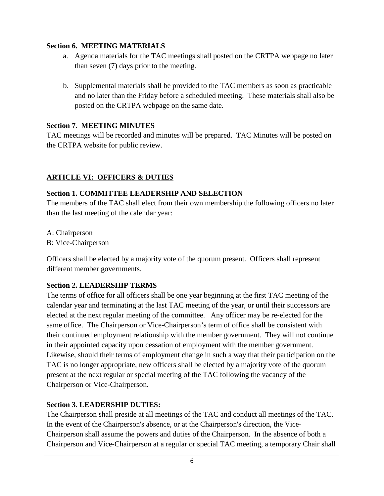### **Section 6. MEETING MATERIALS**

- a. Agenda materials for the TAC meetings shall posted on the CRTPA webpage no later than seven (7) days prior to the meeting.
- b. Supplemental materials shall be provided to the TAC members as soon as practicable and no later than the Friday before a scheduled meeting. These materials shall also be posted on the CRTPA webpage on the same date.

## **Section 7. MEETING MINUTES**

TAC meetings will be recorded and minutes will be prepared. TAC Minutes will be posted on the CRTPA website for public review.

# **ARTICLE VI: OFFICERS & DUTIES**

## **Section 1. COMMITTEE LEADERSHIP AND SELECTION**

The members of the TAC shall elect from their own membership the following officers no later than the last meeting of the calendar year:

A: Chairperson B: Vice-Chairperson

Officers shall be elected by a majority vote of the quorum present. Officers shall represent different member governments.

# **Section 2. LEADERSHIP TERMS**

The terms of office for all officers shall be one year beginning at the first TAC meeting of the calendar year and terminating at the last TAC meeting of the year, or until their successors are elected at the next regular meeting of the committee. Any officer may be re-elected for the same office. The Chairperson or Vice-Chairperson's term of office shall be consistent with their continued employment relationship with the member government. They will not continue in their appointed capacity upon cessation of employment with the member government. Likewise, should their terms of employment change in such a way that their participation on the TAC is no longer appropriate, new officers shall be elected by a majority vote of the quorum present at the next regular or special meeting of the TAC following the vacancy of the Chairperson or Vice-Chairperson.

# **Section 3. LEADERSHIP DUTIES:**

The Chairperson shall preside at all meetings of the TAC and conduct all meetings of the TAC. In the event of the Chairperson's absence, or at the Chairperson's direction, the Vice-Chairperson shall assume the powers and duties of the Chairperson. In the absence of both a Chairperson and Vice-Chairperson at a regular or special TAC meeting, a temporary Chair shall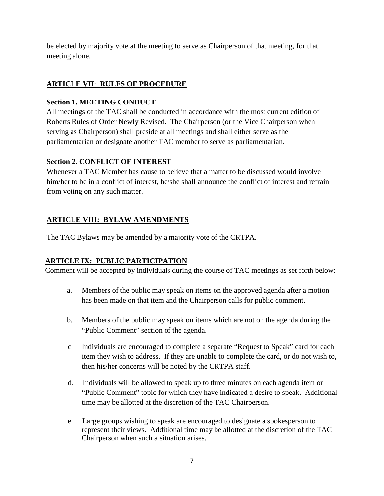be elected by majority vote at the meeting to serve as Chairperson of that meeting, for that meeting alone.

# **ARTICLE VII**: **RULES OF PROCEDURE**

# **Section 1. MEETING CONDUCT**

All meetings of the TAC shall be conducted in accordance with the most current edition of Roberts Rules of Order Newly Revised. The Chairperson (or the Vice Chairperson when serving as Chairperson) shall preside at all meetings and shall either serve as the parliamentarian or designate another TAC member to serve as parliamentarian.

# **Section 2. CONFLICT OF INTEREST**

Whenever a TAC Member has cause to believe that a matter to be discussed would involve him/her to be in a conflict of interest, he/she shall announce the conflict of interest and refrain from voting on any such matter.

# **ARTICLE VIII: BYLAW AMENDMENTS**

The TAC Bylaws may be amended by a majority vote of the CRTPA.

# **ARTICLE IX: PUBLIC PARTICIPATION**

Comment will be accepted by individuals during the course of TAC meetings as set forth below:

- a. Members of the public may speak on items on the approved agenda after a motion has been made on that item and the Chairperson calls for public comment.
- b. Members of the public may speak on items which are not on the agenda during the "Public Comment" section of the agenda.
- c. Individuals are encouraged to complete a separate "Request to Speak" card for each item they wish to address. If they are unable to complete the card, or do not wish to, then his/her concerns will be noted by the CRTPA staff.
- d. Individuals will be allowed to speak up to three minutes on each agenda item or "Public Comment" topic for which they have indicated a desire to speak. Additional time may be allotted at the discretion of the TAC Chairperson.
- e. Large groups wishing to speak are encouraged to designate a spokesperson to represent their views. Additional time may be allotted at the discretion of the TAC Chairperson when such a situation arises.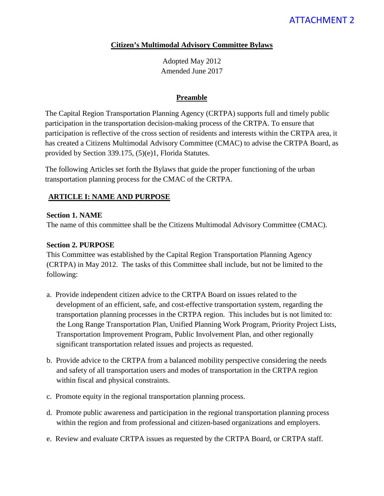# ATTACHMENT 2

### **Citizen's Multimodal Advisory Committee Bylaws**

Adopted May 2012 Amended June 2017

#### **Preamble**

The Capital Region Transportation Planning Agency (CRTPA) supports full and timely public participation in the transportation decision-making process of the CRTPA. To ensure that participation is reflective of the cross section of residents and interests within the CRTPA area, it has created a Citizens Multimodal Advisory Committee (CMAC) to advise the CRTPA Board, as provided by Section 339.175, (5)(e)1, Florida Statutes.

The following Articles set forth the Bylaws that guide the proper functioning of the urban transportation planning process for the CMAC of the CRTPA.

### **ARTICLE I: NAME AND PURPOSE**

### **Section 1. NAME**

The name of this committee shall be the Citizens Multimodal Advisory Committee (CMAC).

### **Section 2. PURPOSE**

This Committee was established by the Capital Region Transportation Planning Agency (CRTPA) in May 2012. The tasks of this Committee shall include, but not be limited to the following:

- a. Provide independent citizen advice to the CRTPA Board on issues related to the development of an efficient, safe, and cost-effective transportation system, regarding the transportation planning processes in the CRTPA region. This includes but is not limited to: the Long Range Transportation Plan, Unified Planning Work Program, Priority Project Lists, Transportation Improvement Program, Public Involvement Plan, and other regionally significant transportation related issues and projects as requested.
- b. Provide advice to the CRTPA from a balanced mobility perspective considering the needs and safety of all transportation users and modes of transportation in the CRTPA region within fiscal and physical constraints.
- c. Promote equity in the regional transportation planning process.
- d. Promote public awareness and participation in the regional transportation planning process within the region and from professional and citizen-based organizations and employers.
- e. Review and evaluate CRTPA issues as requested by the CRTPA Board, or CRTPA staff.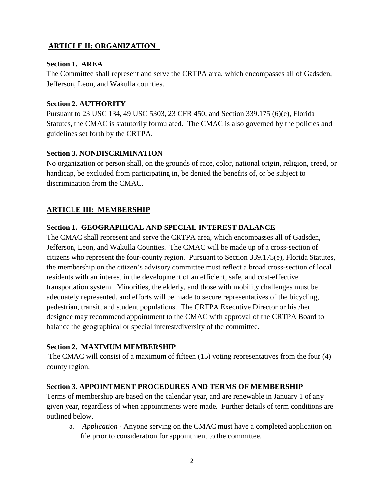# **ARTICLE II: ORGANIZATION**

## **Section 1. AREA**

The Committee shall represent and serve the CRTPA area, which encompasses all of Gadsden, Jefferson, Leon, and Wakulla counties.

# **Section 2. AUTHORITY**

Pursuant to 23 USC 134, 49 USC 5303, 23 CFR 450, and Section 339.175 (6)(e), Florida Statutes, the CMAC is statutorily formulated. The CMAC is also governed by the policies and guidelines set forth by the CRTPA.

# **Section 3. NONDISCRIMINATION**

No organization or person shall, on the grounds of race, color, national origin, religion, creed, or handicap, be excluded from participating in, be denied the benefits of, or be subject to discrimination from the CMAC.

# **ARTICLE III: MEMBERSHIP**

# **Section 1. GEOGRAPHICAL AND SPECIAL INTEREST BALANCE**

The CMAC shall represent and serve the CRTPA area, which encompasses all of Gadsden, Jefferson, Leon, and Wakulla Counties. The CMAC will be made up of a cross-section of citizens who represent the four-county region. Pursuant to Section 339.175(e), Florida Statutes, the membership on the citizen's advisory committee must reflect a broad cross-section of local residents with an interest in the development of an efficient, safe, and cost-effective transportation system. Minorities, the elderly, and those with mobility challenges must be adequately represented, and efforts will be made to secure representatives of the bicycling, pedestrian, transit, and student populations. The CRTPA Executive Director or his /her designee may recommend appointment to the CMAC with approval of the CRTPA Board to balance the geographical or special interest/diversity of the committee.

# **Section 2. MAXIMUM MEMBERSHIP**

The CMAC will consist of a maximum of fifteen (15) voting representatives from the four (4) county region.

# **Section 3. APPOINTMENT PROCEDURES AND TERMS OF MEMBERSHIP**

Terms of membership are based on the calendar year, and are renewable in January 1 of any given year, regardless of when appointments were made. Further details of term conditions are outlined below.

a. *Application* - Anyone serving on the CMAC must have a completed application on file prior to consideration for appointment to the committee.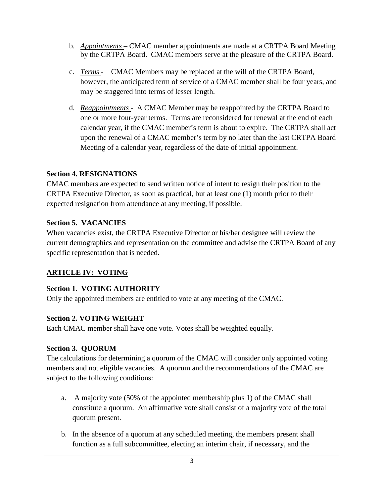- b. *Appointments* CMAC member appointments are made at a CRTPA Board Meeting by the CRTPA Board. CMAC members serve at the pleasure of the CRTPA Board.
- c. *Terms* CMAC Members may be replaced at the will of the CRTPA Board, however, the anticipated term of service of a CMAC member shall be four years, and may be staggered into terms of lesser length.
- d. *Reappointments*  A CMAC Member may be reappointed by the CRTPA Board to one or more four-year terms. Terms are reconsidered for renewal at the end of each calendar year, if the CMAC member's term is about to expire. The CRTPA shall act upon the renewal of a CMAC member's term by no later than the last CRTPA Board Meeting of a calendar year, regardless of the date of initial appointment.

## **Section 4. RESIGNATIONS**

CMAC members are expected to send written notice of intent to resign their position to the CRTPA Executive Director, as soon as practical, but at least one (1) month prior to their expected resignation from attendance at any meeting, if possible.

## **Section 5. VACANCIES**

When vacancies exist, the CRTPA Executive Director or his/her designee will review the current demographics and representation on the committee and advise the CRTPA Board of any specific representation that is needed.

# **ARTICLE IV: VOTING**

# **Section 1. VOTING AUTHORITY**

Only the appointed members are entitled to vote at any meeting of the CMAC.

## **Section 2. VOTING WEIGHT**

Each CMAC member shall have one vote. Votes shall be weighted equally.

## **Section 3. QUORUM**

The calculations for determining a quorum of the CMAC will consider only appointed voting members and not eligible vacancies. A quorum and the recommendations of the CMAC are subject to the following conditions:

- a. A majority vote (50% of the appointed membership plus 1) of the CMAC shall constitute a quorum. An affirmative vote shall consist of a majority vote of the total quorum present.
- b. In the absence of a quorum at any scheduled meeting, the members present shall function as a full subcommittee, electing an interim chair, if necessary, and the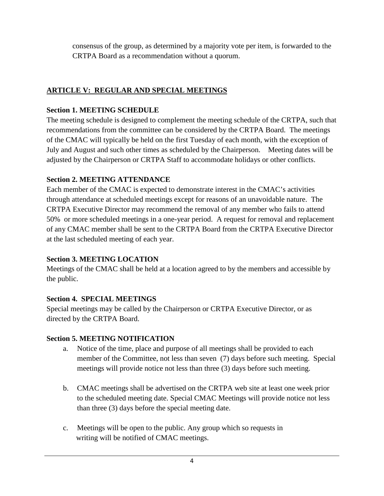consensus of the group, as determined by a majority vote per item, is forwarded to the CRTPA Board as a recommendation without a quorum.

# **ARTICLE V: REGULAR AND SPECIAL MEETINGS**

## **Section 1. MEETING SCHEDULE**

The meeting schedule is designed to complement the meeting schedule of the CRTPA, such that recommendations from the committee can be considered by the CRTPA Board. The meetings of the CMAC will typically be held on the first Tuesday of each month, with the exception of July and August and such other times as scheduled by the Chairperson. Meeting dates will be adjusted by the Chairperson or CRTPA Staff to accommodate holidays or other conflicts.

# **Section 2. MEETING ATTENDANCE**

Each member of the CMAC is expected to demonstrate interest in the CMAC's activities through attendance at scheduled meetings except for reasons of an unavoidable nature. The CRTPA Executive Director may recommend the removal of any member who fails to attend 50% or more scheduled meetings in a one-year period. A request for removal and replacement of any CMAC member shall be sent to the CRTPA Board from the CRTPA Executive Director at the last scheduled meeting of each year.

# **Section 3. MEETING LOCATION**

Meetings of the CMAC shall be held at a location agreed to by the members and accessible by the public.

# **Section 4. SPECIAL MEETINGS**

Special meetings may be called by the Chairperson or CRTPA Executive Director, or as directed by the CRTPA Board.

# **Section 5. MEETING NOTIFICATION**

- a. Notice of the time, place and purpose of all meetings shall be provided to each member of the Committee, not less than seven (7) days before such meeting. Special meetings will provide notice not less than three (3) days before such meeting.
- b. CMAC meetings shall be advertised on the CRTPA web site at least one week prior to the scheduled meeting date. Special CMAC Meetings will provide notice not less than three (3) days before the special meeting date.
- c. Meetings will be open to the public. Any group which so requests in writing will be notified of CMAC meetings.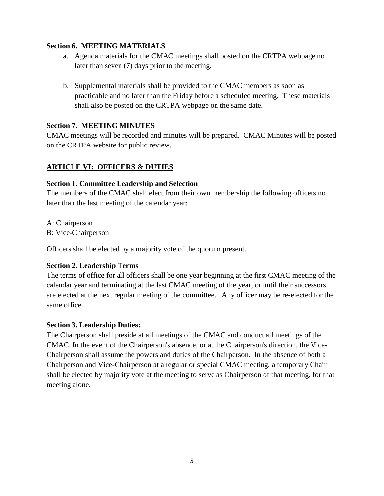### **Section 6. MEETING MATERIALS**

- a. Agenda materials for the CMAC meetings shall posted on the CRTPA webpage no later than seven (7) days prior to the meeting.
- b. Supplemental materials shall be provided to the CMAC members as soon as practicable and no later than the Friday before a scheduled meeting. These materials shall also be posted on the CRTPA webpage on the same date.

## **Section 7. MEETING MINUTES**

CMAC meetings will be recorded and minutes will be prepared. CMAC Minutes will be posted on the CRTPA website for public review.

# **ARTICLE VI: OFFICERS & DUTIES**

## **Section 1. Committee Leadership and Selection**

The members of the CMAC shall elect from their own membership the following officers no later than the last meeting of the calendar year:

A: Chairperson

B: Vice-Chairperson

Officers shall be elected by a majority vote of the quorum present.

# **Section 2. Leadership Terms**

The terms of office for all officers shall be one year beginning at the first CMAC meeting of the calendar year and terminating at the last CMAC meeting of the year, or until their successors are elected at the next regular meeting of the committee. Any officer may be re-elected for the same office.

# **Section 3. Leadership Duties:**

The Chairperson shall preside at all meetings of the CMAC and conduct all meetings of the CMAC. In the event of the Chairperson's absence, or at the Chairperson's direction, the Vice-Chairperson shall assume the powers and duties of the Chairperson. In the absence of both a Chairperson and Vice-Chairperson at a regular or special CMAC meeting, a temporary Chair shall be elected by majority vote at the meeting to serve as Chairperson of that meeting, for that meeting alone.